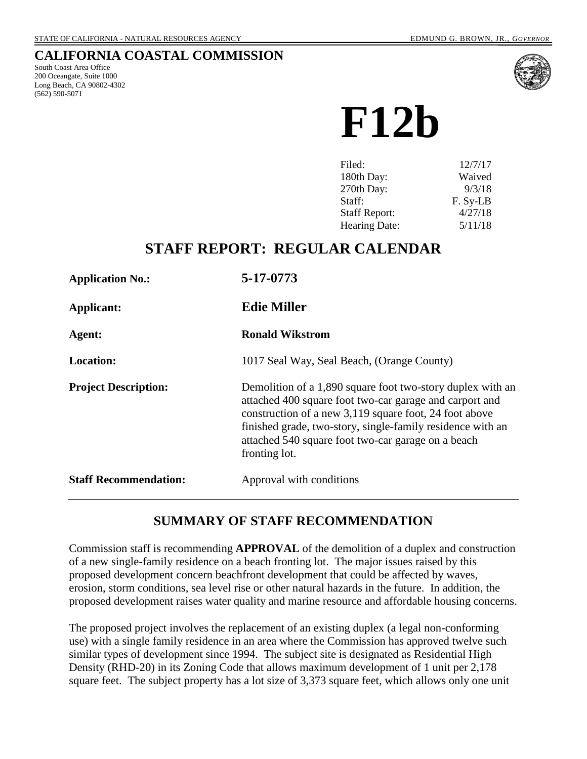### **CALIFORNIA COASTAL COMMISSION**

South Coast Area Office 200 Oceangate, Suite 1000 Long Beach, CA 90802-4302 (562) 590-5071



**F12b**

| Filed:               | 12/7/17  |
|----------------------|----------|
| 180th Day:           | Waived   |
| 270th Day:           | 9/3/18   |
| Staff:               | F. Sy-LB |
| <b>Staff Report:</b> | 4/27/18  |
| <b>Hearing Date:</b> | 5/11/18  |

# **STAFF REPORT: REGULAR CALENDAR**

| <b>Application No.:</b>      | 5-17-0773                                                                                                                                                                                                                                                                                                            |
|------------------------------|----------------------------------------------------------------------------------------------------------------------------------------------------------------------------------------------------------------------------------------------------------------------------------------------------------------------|
| Applicant:                   | <b>Edie Miller</b>                                                                                                                                                                                                                                                                                                   |
| Agent:                       | <b>Ronald Wikstrom</b>                                                                                                                                                                                                                                                                                               |
| <b>Location:</b>             | 1017 Seal Way, Seal Beach, (Orange County)                                                                                                                                                                                                                                                                           |
| <b>Project Description:</b>  | Demolition of a 1,890 square foot two-story duplex with an<br>attached 400 square foot two-car garage and carport and<br>construction of a new 3,119 square foot, 24 foot above<br>finished grade, two-story, single-family residence with an<br>attached 540 square foot two-car garage on a beach<br>fronting lot. |
| <b>Staff Recommendation:</b> | Approval with conditions                                                                                                                                                                                                                                                                                             |

### **SUMMARY OF STAFF RECOMMENDATION**

Commission staff is recommending **APPROVAL** of the demolition of a duplex and construction of a new single-family residence on a beach fronting lot. The major issues raised by this proposed development concern beachfront development that could be affected by waves, erosion, storm conditions, sea level rise or other natural hazards in the future. In addition, the proposed development raises water quality and marine resource and affordable housing concerns.

The proposed project involves the replacement of an existing duplex (a legal non-conforming use) with a single family residence in an area where the Commission has approved twelve such similar types of development since 1994. The subject site is designated as Residential High Density (RHD-20) in its Zoning Code that allows maximum development of 1 unit per 2,178 square feet. The subject property has a lot size of 3,373 square feet, which allows only one unit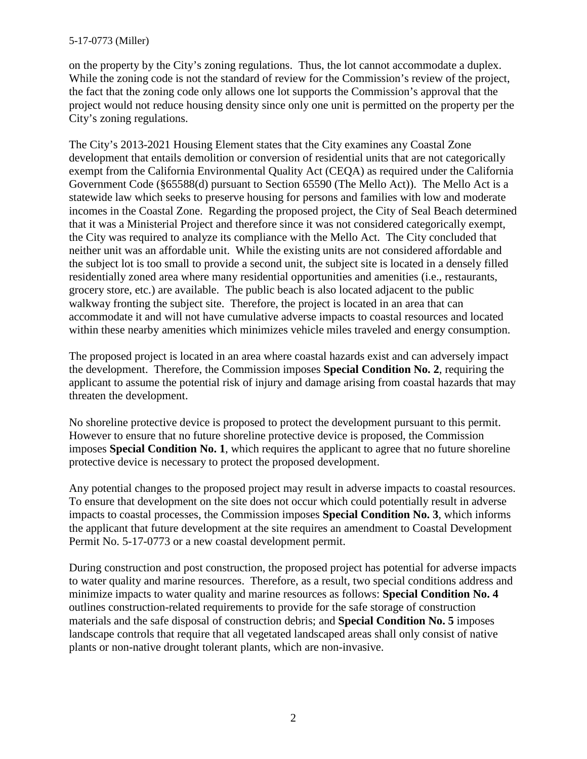on the property by the City's zoning regulations. Thus, the lot cannot accommodate a duplex. While the zoning code is not the standard of review for the Commission's review of the project, the fact that the zoning code only allows one lot supports the Commission's approval that the project would not reduce housing density since only one unit is permitted on the property per the City's zoning regulations.

The City's 2013-2021 Housing Element states that the City examines any Coastal Zone development that entails demolition or conversion of residential units that are not categorically exempt from the California Environmental Quality Act (CEQA) as required under the California Government Code (§65588(d) pursuant to Section 65590 (The Mello Act)). The Mello Act is a statewide law which seeks to preserve housing for persons and families with low and moderate incomes in the Coastal Zone. Regarding the proposed project, the City of Seal Beach determined that it was a Ministerial Project and therefore since it was not considered categorically exempt, the City was required to analyze its compliance with the Mello Act. The City concluded that neither unit was an affordable unit. While the existing units are not considered affordable and the subject lot is too small to provide a second unit, the subject site is located in a densely filled residentially zoned area where many residential opportunities and amenities (i.e., restaurants, grocery store, etc.) are available. The public beach is also located adjacent to the public walkway fronting the subject site. Therefore, the project is located in an area that can accommodate it and will not have cumulative adverse impacts to coastal resources and located within these nearby amenities which minimizes vehicle miles traveled and energy consumption.

The proposed project is located in an area where coastal hazards exist and can adversely impact the development. Therefore, the Commission imposes **Special Condition No. 2**, requiring the applicant to assume the potential risk of injury and damage arising from coastal hazards that may threaten the development.

No shoreline protective device is proposed to protect the development pursuant to this permit. However to ensure that no future shoreline protective device is proposed, the Commission imposes **Special Condition No. 1**, which requires the applicant to agree that no future shoreline protective device is necessary to protect the proposed development.

Any potential changes to the proposed project may result in adverse impacts to coastal resources. To ensure that development on the site does not occur which could potentially result in adverse impacts to coastal processes, the Commission imposes **Special Condition No. 3**, which informs the applicant that future development at the site requires an amendment to Coastal Development Permit No. 5-17-0773 or a new coastal development permit.

During construction and post construction, the proposed project has potential for adverse impacts to water quality and marine resources. Therefore, as a result, two special conditions address and minimize impacts to water quality and marine resources as follows: **Special Condition No. 4** outlines construction-related requirements to provide for the safe storage of construction materials and the safe disposal of construction debris; and **Special Condition No. 5** imposes landscape controls that require that all vegetated landscaped areas shall only consist of native plants or non-native drought tolerant plants, which are non-invasive.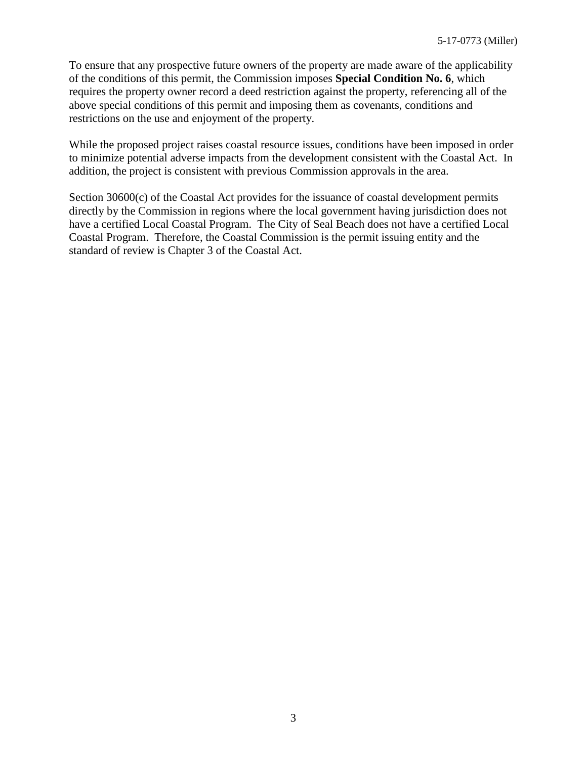To ensure that any prospective future owners of the property are made aware of the applicability of the conditions of this permit, the Commission imposes **Special Condition No. 6**, which requires the property owner record a deed restriction against the property, referencing all of the above special conditions of this permit and imposing them as covenants, conditions and restrictions on the use and enjoyment of the property.

While the proposed project raises coastal resource issues, conditions have been imposed in order to minimize potential adverse impacts from the development consistent with the Coastal Act. In addition, the project is consistent with previous Commission approvals in the area.

Section 30600(c) of the Coastal Act provides for the issuance of coastal development permits directly by the Commission in regions where the local government having jurisdiction does not have a certified Local Coastal Program. The City of Seal Beach does not have a certified Local Coastal Program. Therefore, the Coastal Commission is the permit issuing entity and the standard of review is Chapter 3 of the Coastal Act.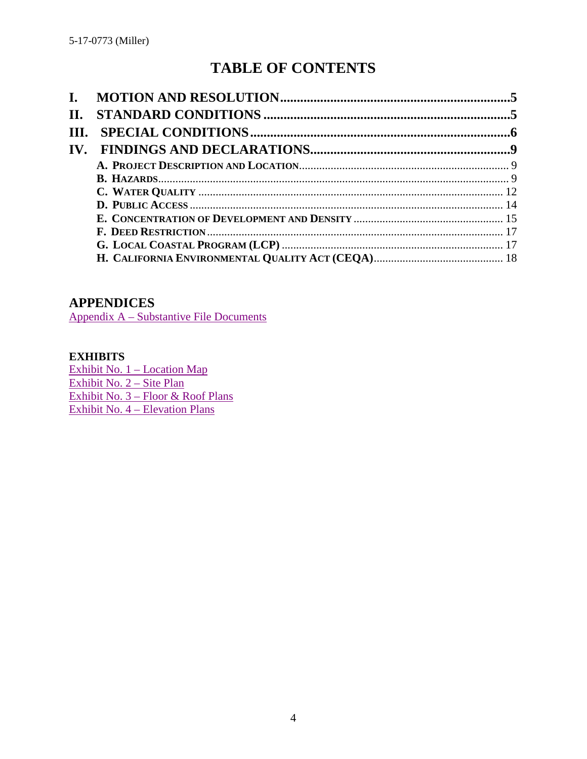# **TABLE OF CONTENTS**

| <b>II.</b> |  |
|------------|--|
|            |  |
|            |  |
|            |  |
|            |  |
|            |  |
|            |  |
|            |  |
|            |  |
|            |  |
|            |  |

### **APPENDICES**

[Appendix A – Substantive File Documents](#page-18-0)

### **EXHIBITS**

[Exhibit No. 1 – Location Map](https://documents.coastal.ca.gov/reports/2018/5/F12b/F12b-5-2018-exhibits.pd)  [Exhibit No. 2 – Site Plan](https://documents.coastal.ca.gov/reports/2018/5/F12b/F12b-5-2018-exhibits.pd) [Exhibit No. 3 – Floor & Roof Plans](https://documents.coastal.ca.gov/reports/2018/5/F12b/F12b-5-2018-exhibits.pd)  [Exhibit No. 4 – Elevation Plans](https://documents.coastal.ca.gov/reports/2018/5/F12b/F12b-5-2018-exhibits.pd)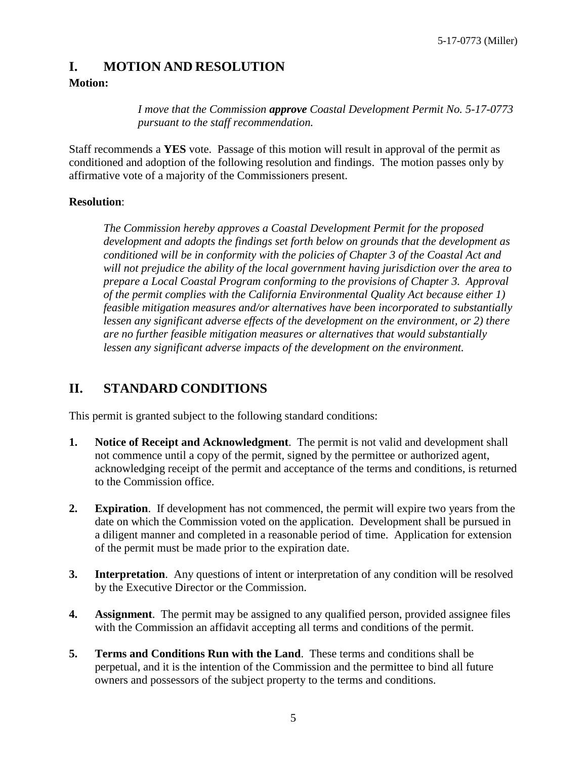### <span id="page-4-0"></span>**I. MOTION AND RESOLUTION**

### **Motion:**

*I move that the Commission approve Coastal Development Permit No. 5-17-0773 pursuant to the staff recommendation.* 

Staff recommends a **YES** vote. Passage of this motion will result in approval of the permit as conditioned and adoption of the following resolution and findings. The motion passes only by affirmative vote of a majority of the Commissioners present.

### **Resolution**:

*The Commission hereby approves a Coastal Development Permit for the proposed development and adopts the findings set forth below on grounds that the development as conditioned will be in conformity with the policies of Chapter 3 of the Coastal Act and will not prejudice the ability of the local government having jurisdiction over the area to prepare a Local Coastal Program conforming to the provisions of Chapter 3. Approval of the permit complies with the California Environmental Quality Act because either 1) feasible mitigation measures and/or alternatives have been incorporated to substantially lessen any significant adverse effects of the development on the environment, or 2) there are no further feasible mitigation measures or alternatives that would substantially lessen any significant adverse impacts of the development on the environment.* 

# <span id="page-4-1"></span>**II. STANDARD CONDITIONS**

This permit is granted subject to the following standard conditions:

- **1. Notice of Receipt and Acknowledgment**. The permit is not valid and development shall not commence until a copy of the permit, signed by the permittee or authorized agent, acknowledging receipt of the permit and acceptance of the terms and conditions, is returned to the Commission office.
- **2. Expiration**. If development has not commenced, the permit will expire two years from the date on which the Commission voted on the application. Development shall be pursued in a diligent manner and completed in a reasonable period of time. Application for extension of the permit must be made prior to the expiration date.
- **3.** Interpretation. Any questions of intent or interpretation of any condition will be resolved by the Executive Director or the Commission.
- **4. Assignment**. The permit may be assigned to any qualified person, provided assignee files with the Commission an affidavit accepting all terms and conditions of the permit.
- **5. Terms and Conditions Run with the Land**. These terms and conditions shall be perpetual, and it is the intention of the Commission and the permittee to bind all future owners and possessors of the subject property to the terms and conditions.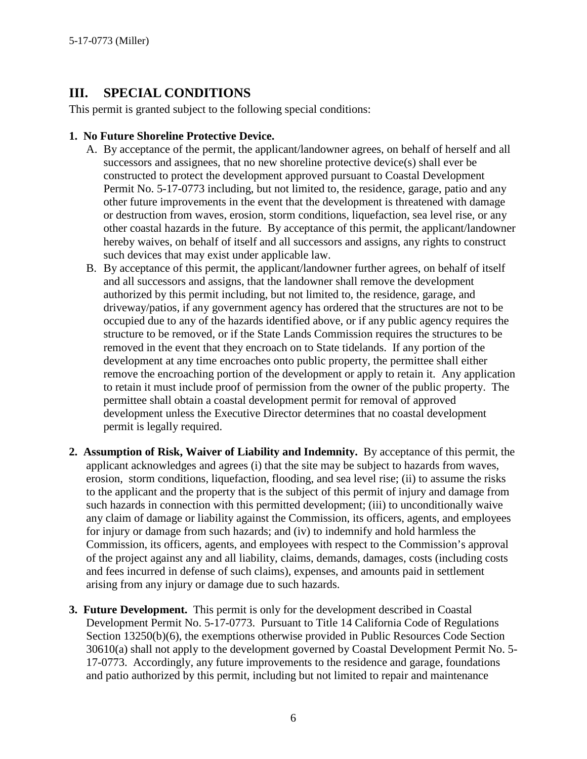# <span id="page-5-0"></span>**III. SPECIAL CONDITIONS**

This permit is granted subject to the following special conditions:

### **1. No Future Shoreline Protective Device.**

- A. By acceptance of the permit, the applicant/landowner agrees, on behalf of herself and all successors and assignees, that no new shoreline protective device(s) shall ever be constructed to protect the development approved pursuant to Coastal Development Permit No. 5-17-0773 including, but not limited to, the residence, garage, patio and any other future improvements in the event that the development is threatened with damage or destruction from waves, erosion, storm conditions, liquefaction, sea level rise, or any other coastal hazards in the future. By acceptance of this permit, the applicant/landowner hereby waives, on behalf of itself and all successors and assigns, any rights to construct such devices that may exist under applicable law.
- B. By acceptance of this permit, the applicant/landowner further agrees, on behalf of itself and all successors and assigns, that the landowner shall remove the development authorized by this permit including, but not limited to, the residence, garage, and driveway/patios, if any government agency has ordered that the structures are not to be occupied due to any of the hazards identified above, or if any public agency requires the structure to be removed, or if the State Lands Commission requires the structures to be removed in the event that they encroach on to State tidelands. If any portion of the development at any time encroaches onto public property, the permittee shall either remove the encroaching portion of the development or apply to retain it. Any application to retain it must include proof of permission from the owner of the public property. The permittee shall obtain a coastal development permit for removal of approved development unless the Executive Director determines that no coastal development permit is legally required.
- **2. Assumption of Risk, Waiver of Liability and Indemnity.** By acceptance of this permit, the applicant acknowledges and agrees (i) that the site may be subject to hazards from waves, erosion, storm conditions, liquefaction, flooding, and sea level rise; (ii) to assume the risks to the applicant and the property that is the subject of this permit of injury and damage from such hazards in connection with this permitted development; (iii) to unconditionally waive any claim of damage or liability against the Commission, its officers, agents, and employees for injury or damage from such hazards; and (iv) to indemnify and hold harmless the Commission, its officers, agents, and employees with respect to the Commission's approval of the project against any and all liability, claims, demands, damages, costs (including costs and fees incurred in defense of such claims), expenses, and amounts paid in settlement arising from any injury or damage due to such hazards.
- **3. Future Development.** This permit is only for the development described in Coastal Development Permit No. 5-17-0773. Pursuant to Title 14 California Code of Regulations Section 13250(b)(6), the exemptions otherwise provided in Public Resources Code Section 30610(a) shall not apply to the development governed by Coastal Development Permit No. 5- 17-0773. Accordingly, any future improvements to the residence and garage, foundations and patio authorized by this permit, including but not limited to repair and maintenance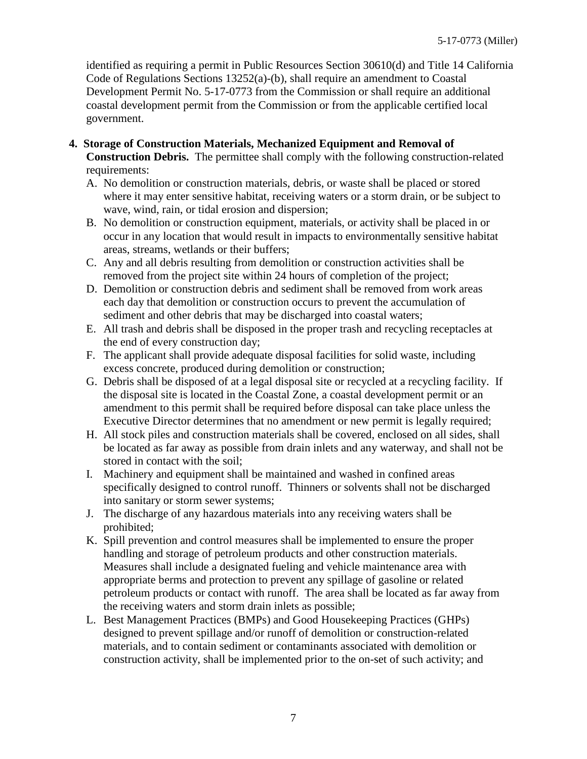identified as requiring a permit in Public Resources Section 30610(d) and Title 14 California Code of Regulations Sections 13252(a)-(b), shall require an amendment to Coastal Development Permit No. 5-17-0773 from the Commission or shall require an additional coastal development permit from the Commission or from the applicable certified local government.

- **4. Storage of Construction Materials, Mechanized Equipment and Removal of Construction Debris.** The permittee shall comply with the following construction-related requirements:
	- A. No demolition or construction materials, debris, or waste shall be placed or stored where it may enter sensitive habitat, receiving waters or a storm drain, or be subject to wave, wind, rain, or tidal erosion and dispersion;
	- B. No demolition or construction equipment, materials, or activity shall be placed in or occur in any location that would result in impacts to environmentally sensitive habitat areas, streams, wetlands or their buffers;
	- C. Any and all debris resulting from demolition or construction activities shall be removed from the project site within 24 hours of completion of the project;
	- D. Demolition or construction debris and sediment shall be removed from work areas each day that demolition or construction occurs to prevent the accumulation of sediment and other debris that may be discharged into coastal waters;
	- E. All trash and debris shall be disposed in the proper trash and recycling receptacles at the end of every construction day;
	- F. The applicant shall provide adequate disposal facilities for solid waste, including excess concrete, produced during demolition or construction;
	- G. Debris shall be disposed of at a legal disposal site or recycled at a recycling facility. If the disposal site is located in the Coastal Zone, a coastal development permit or an amendment to this permit shall be required before disposal can take place unless the Executive Director determines that no amendment or new permit is legally required;
	- H. All stock piles and construction materials shall be covered, enclosed on all sides, shall be located as far away as possible from drain inlets and any waterway, and shall not be stored in contact with the soil;
	- I. Machinery and equipment shall be maintained and washed in confined areas specifically designed to control runoff. Thinners or solvents shall not be discharged into sanitary or storm sewer systems;
	- J. The discharge of any hazardous materials into any receiving waters shall be prohibited;
	- K. Spill prevention and control measures shall be implemented to ensure the proper handling and storage of petroleum products and other construction materials. Measures shall include a designated fueling and vehicle maintenance area with appropriate berms and protection to prevent any spillage of gasoline or related petroleum products or contact with runoff. The area shall be located as far away from the receiving waters and storm drain inlets as possible;
	- L. Best Management Practices (BMPs) and Good Housekeeping Practices (GHPs) designed to prevent spillage and/or runoff of demolition or construction-related materials, and to contain sediment or contaminants associated with demolition or construction activity, shall be implemented prior to the on-set of such activity; and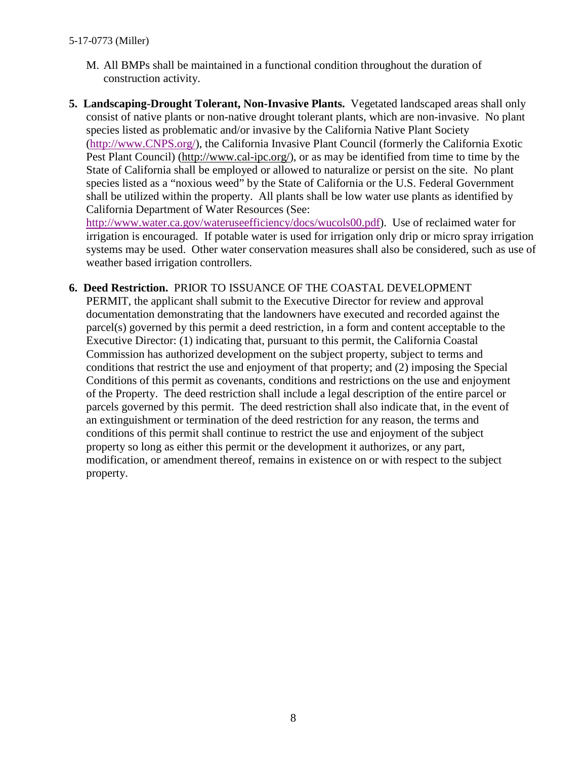- M. All BMPs shall be maintained in a functional condition throughout the duration of construction activity.
- **5. Landscaping-Drought Tolerant, Non-Invasive Plants.** Vegetated landscaped areas shall only consist of native plants or non-native drought tolerant plants, which are non-invasive. No plant species listed as problematic and/or invasive by the California Native Plant Society [\(http://www.CNPS.org/\)](http://www.cnps.org/), the California Invasive Plant Council (formerly the California Exotic Pest Plant Council) [\(http://www.cal-ipc.org/\)](http://www.cal-ipc.org/), or as may be identified from time to time by the State of California shall be employed or allowed to naturalize or persist on the site. No plant species listed as a "noxious weed" by the State of California or the U.S. Federal Government shall be utilized within the property. All plants shall be low water use plants as identified by California Department of Water Resources (See:

[http://www.water.ca.gov/wateruseefficiency/docs/wucols00.pdf\)](http://www.water.ca.gov/wateruseefficiency/docs/wucols00.pdf). Use of reclaimed water for irrigation is encouraged. If potable water is used for irrigation only drip or micro spray irrigation systems may be used. Other water conservation measures shall also be considered, such as use of weather based irrigation controllers.

**6. Deed Restriction.** PRIOR TO ISSUANCE OF THE COASTAL DEVELOPMENT PERMIT, the applicant shall submit to the Executive Director for review and approval documentation demonstrating that the landowners have executed and recorded against the parcel(s) governed by this permit a deed restriction, in a form and content acceptable to the Executive Director: (1) indicating that, pursuant to this permit, the California Coastal Commission has authorized development on the subject property, subject to terms and conditions that restrict the use and enjoyment of that property; and (2) imposing the Special Conditions of this permit as covenants, conditions and restrictions on the use and enjoyment of the Property. The deed restriction shall include a legal description of the entire parcel or parcels governed by this permit. The deed restriction shall also indicate that, in the event of an extinguishment or termination of the deed restriction for any reason, the terms and conditions of this permit shall continue to restrict the use and enjoyment of the subject property so long as either this permit or the development it authorizes, or any part, modification, or amendment thereof, remains in existence on or with respect to the subject property.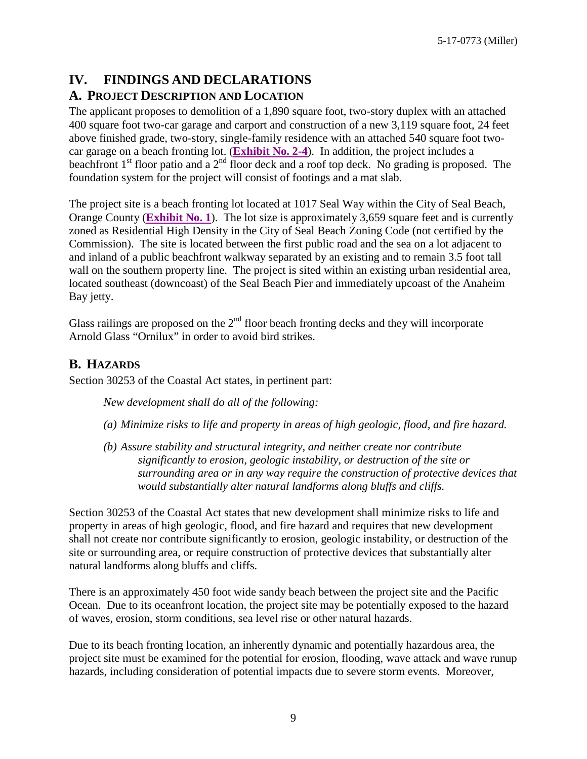# <span id="page-8-0"></span>**IV. FINDINGS AND DECLARATIONS**

### <span id="page-8-1"></span>**A. PROJECT DESCRIPTION AND LOCATION**

The applicant proposes to demolition of a 1,890 square foot, two-story duplex with an attached 400 square foot two-car garage and carport and construction of a new 3,119 square foot, 24 feet above finished grade, two-story, single-family residence with an attached 540 square foot twocar garage on a beach fronting lot. (**[Exhibit No. 2-4](https://documents.coastal.ca.gov/reports/2018/5/F12b/F12b-5-2018-exhibits.pdf)**). In addition, the project includes a beachfront  $1<sup>st</sup>$  floor patio and a  $2<sup>nd</sup>$  floor deck and a roof top deck. No grading is proposed. The foundation system for the project will consist of footings and a mat slab.

The project site is a beach fronting lot located at 1017 Seal Way within the City of Seal Beach, Orange County (**[Exhibit No. 1](https://documents.coastal.ca.gov/reports/2018/5/F12b/F12b-5-2018-exhibits.pdf)**). The lot size is approximately 3,659 square feet and is currently zoned as Residential High Density in the City of Seal Beach Zoning Code (not certified by the Commission). The site is located between the first public road and the sea on a lot adjacent to and inland of a public beachfront walkway separated by an existing and to remain 3.5 foot tall wall on the southern property line. The project is sited within an existing urban residential area, located southeast (downcoast) of the Seal Beach Pier and immediately upcoast of the Anaheim Bay jetty.

Glass railings are proposed on the  $2<sup>nd</sup>$  floor beach fronting decks and they will incorporate Arnold Glass "Ornilux" in order to avoid bird strikes.

### <span id="page-8-2"></span>**B. HAZARDS**

Section 30253 of the Coastal Act states, in pertinent part:

*New development shall do all of the following:* 

- *(a) Minimize risks to life and property in areas of high geologic, flood, and fire hazard.*
- *(b) Assure stability and structural integrity, and neither create nor contribute significantly to erosion, geologic instability, or destruction of the site or surrounding area or in any way require the construction of protective devices that would substantially alter natural landforms along bluffs and cliffs.*

Section 30253 of the Coastal Act states that new development shall minimize risks to life and property in areas of high geologic, flood, and fire hazard and requires that new development shall not create nor contribute significantly to erosion, geologic instability, or destruction of the site or surrounding area, or require construction of protective devices that substantially alter natural landforms along bluffs and cliffs.

There is an approximately 450 foot wide sandy beach between the project site and the Pacific Ocean. Due to its oceanfront location, the project site may be potentially exposed to the hazard of waves, erosion, storm conditions, sea level rise or other natural hazards.

Due to its beach fronting location, an inherently dynamic and potentially hazardous area, the project site must be examined for the potential for erosion, flooding, wave attack and wave runup hazards, including consideration of potential impacts due to severe storm events. Moreover,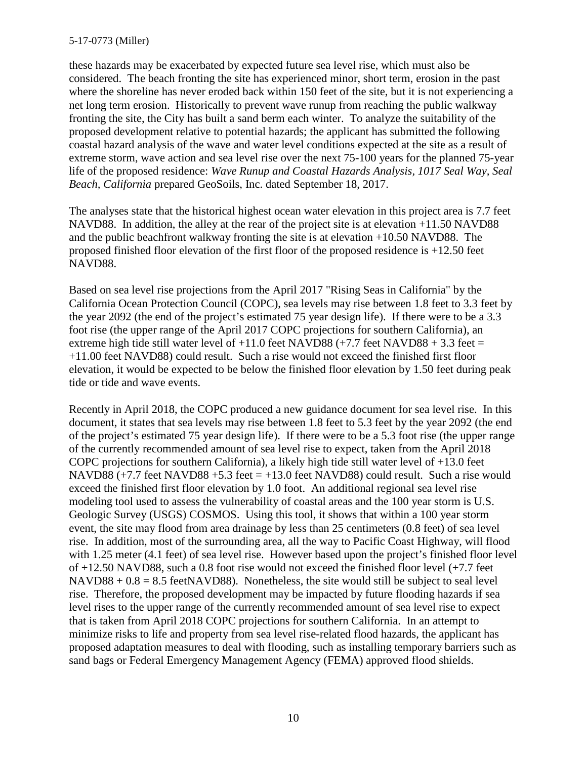#### 5-17-0773 (Miller)

these hazards may be exacerbated by expected future sea level rise, which must also be considered. The beach fronting the site has experienced minor, short term, erosion in the past where the shoreline has never eroded back within 150 feet of the site, but it is not experiencing a net long term erosion. Historically to prevent wave runup from reaching the public walkway fronting the site, the City has built a sand berm each winter. To analyze the suitability of the proposed development relative to potential hazards; the applicant has submitted the following coastal hazard analysis of the wave and water level conditions expected at the site as a result of extreme storm, wave action and sea level rise over the next 75-100 years for the planned 75-year life of the proposed residence: *Wave Runup and Coastal Hazards Analysis, 1017 Seal Way, Seal Beach, California* prepared GeoSoils, Inc. dated September 18, 2017.

The analyses state that the historical highest ocean water elevation in this project area is 7.7 feet NAVD88. In addition, the alley at the rear of the project site is at elevation +11.50 NAVD88 and the public beachfront walkway fronting the site is at elevation +10.50 NAVD88. The proposed finished floor elevation of the first floor of the proposed residence is +12.50 feet NAVD88.

Based on sea level rise projections from the April 2017 "Rising Seas in California" by the California Ocean Protection Council (COPC), sea levels may rise between 1.8 feet to 3.3 feet by the year 2092 (the end of the project's estimated 75 year design life). If there were to be a 3.3 foot rise (the upper range of the April 2017 COPC projections for southern California), an extreme high tide still water level of  $+11.0$  feet NAVD88 ( $+7.7$  feet NAVD88  $+3.3$  feet  $=$ +11.00 feet NAVD88) could result. Such a rise would not exceed the finished first floor elevation, it would be expected to be below the finished floor elevation by 1.50 feet during peak tide or tide and wave events.

Recently in April 2018, the COPC produced a new guidance document for sea level rise. In this document, it states that sea levels may rise between 1.8 feet to 5.3 feet by the year 2092 (the end of the project's estimated 75 year design life). If there were to be a 5.3 foot rise (the upper range of the currently recommended amount of sea level rise to expect, taken from the April 2018 COPC projections for southern California), a likely high tide still water level of  $+13.0$  feet NAVD88  $(+7.7$  feet NAVD88  $+5.3$  feet  $= +13.0$  feet NAVD88) could result. Such a rise would exceed the finished first floor elevation by 1.0 foot. An additional regional sea level rise modeling tool used to assess the vulnerability of coastal areas and the 100 year storm is U.S. Geologic Survey (USGS) COSMOS. Using this tool, it shows that within a 100 year storm event, the site may flood from area drainage by less than 25 centimeters (0.8 feet) of sea level rise. In addition, most of the surrounding area, all the way to Pacific Coast Highway, will flood with 1.25 meter (4.1 feet) of sea level rise. However based upon the project's finished floor level of +12.50 NAVD88, such a 0.8 foot rise would not exceed the finished floor level (+7.7 feet  $NAVDS8 + 0.8 = 8.5$  feetNAVD88). Nonetheless, the site would still be subject to seal level rise. Therefore, the proposed development may be impacted by future flooding hazards if sea level rises to the upper range of the currently recommended amount of sea level rise to expect that is taken from April 2018 COPC projections for southern California. In an attempt to minimize risks to life and property from sea level rise-related flood hazards, the applicant has proposed adaptation measures to deal with flooding, such as installing temporary barriers such as sand bags or Federal Emergency Management Agency (FEMA) approved flood shields.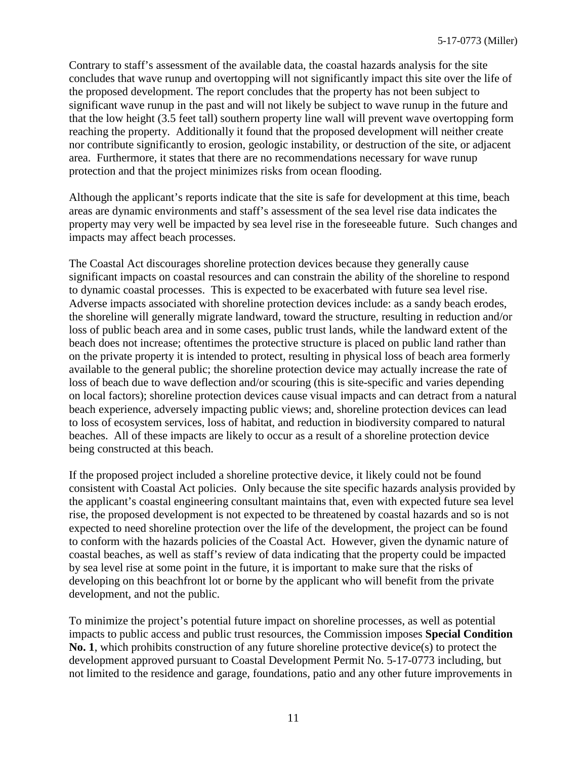Contrary to staff's assessment of the available data, the coastal hazards analysis for the site concludes that wave runup and overtopping will not significantly impact this site over the life of the proposed development. The report concludes that the property has not been subject to significant wave runup in the past and will not likely be subject to wave runup in the future and that the low height (3.5 feet tall) southern property line wall will prevent wave overtopping form reaching the property. Additionally it found that the proposed development will neither create nor contribute significantly to erosion, geologic instability, or destruction of the site, or adjacent area. Furthermore, it states that there are no recommendations necessary for wave runup protection and that the project minimizes risks from ocean flooding.

Although the applicant's reports indicate that the site is safe for development at this time, beach areas are dynamic environments and staff's assessment of the sea level rise data indicates the property may very well be impacted by sea level rise in the foreseeable future. Such changes and impacts may affect beach processes.

The Coastal Act discourages shoreline protection devices because they generally cause significant impacts on coastal resources and can constrain the ability of the shoreline to respond to dynamic coastal processes. This is expected to be exacerbated with future sea level rise. Adverse impacts associated with shoreline protection devices include: as a sandy beach erodes, the shoreline will generally migrate landward, toward the structure, resulting in reduction and/or loss of public beach area and in some cases, public trust lands, while the landward extent of the beach does not increase; oftentimes the protective structure is placed on public land rather than on the private property it is intended to protect, resulting in physical loss of beach area formerly available to the general public; the shoreline protection device may actually increase the rate of loss of beach due to wave deflection and/or scouring (this is site-specific and varies depending on local factors); shoreline protection devices cause visual impacts and can detract from a natural beach experience, adversely impacting public views; and, shoreline protection devices can lead to loss of ecosystem services, loss of habitat, and reduction in biodiversity compared to natural beaches. All of these impacts are likely to occur as a result of a shoreline protection device being constructed at this beach.

If the proposed project included a shoreline protective device, it likely could not be found consistent with Coastal Act policies. Only because the site specific hazards analysis provided by the applicant's coastal engineering consultant maintains that, even with expected future sea level rise, the proposed development is not expected to be threatened by coastal hazards and so is not expected to need shoreline protection over the life of the development, the project can be found to conform with the hazards policies of the Coastal Act. However, given the dynamic nature of coastal beaches, as well as staff's review of data indicating that the property could be impacted by sea level rise at some point in the future, it is important to make sure that the risks of developing on this beachfront lot or borne by the applicant who will benefit from the private development, and not the public.

To minimize the project's potential future impact on shoreline processes, as well as potential impacts to public access and public trust resources, the Commission imposes **Special Condition No. 1**, which prohibits construction of any future shoreline protective device(s) to protect the development approved pursuant to Coastal Development Permit No. 5-17-0773 including, but not limited to the residence and garage, foundations, patio and any other future improvements in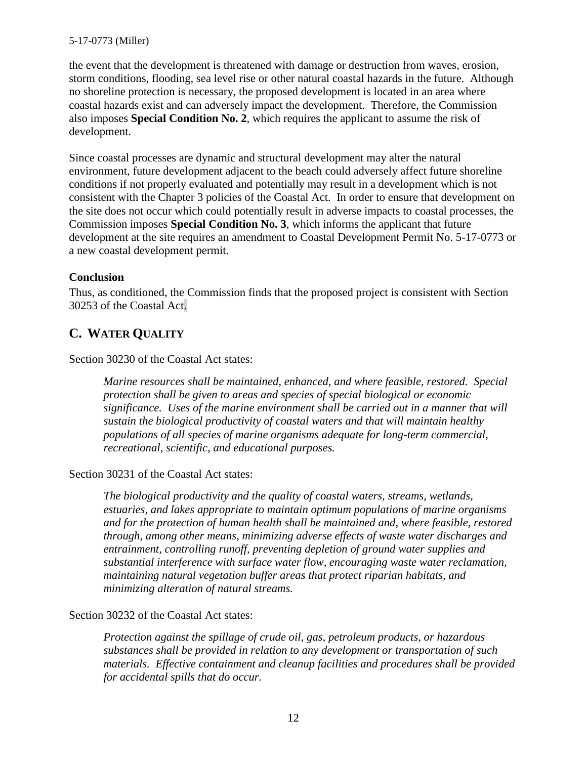#### 5-17-0773 (Miller)

the event that the development is threatened with damage or destruction from waves, erosion, storm conditions, flooding, sea level rise or other natural coastal hazards in the future. Although no shoreline protection is necessary, the proposed development is located in an area where coastal hazards exist and can adversely impact the development. Therefore, the Commission also imposes **Special Condition No. 2**, which requires the applicant to assume the risk of development.

Since coastal processes are dynamic and structural development may alter the natural environment, future development adjacent to the beach could adversely affect future shoreline conditions if not properly evaluated and potentially may result in a development which is not consistent with the Chapter 3 policies of the Coastal Act. In order to ensure that development on the site does not occur which could potentially result in adverse impacts to coastal processes, the Commission imposes **Special Condition No. 3**, which informs the applicant that future development at the site requires an amendment to Coastal Development Permit No. 5-17-0773 or a new coastal development permit.

#### **Conclusion**

Thus, as conditioned, the Commission finds that the proposed project is consistent with Section 30253 of the Coastal Act.

### <span id="page-11-0"></span>**C. WATER QUALITY**

Section 30230 of the Coastal Act states:

*Marine resources shall be maintained, enhanced, and where feasible, restored. Special protection shall be given to areas and species of special biological or economic significance. Uses of the marine environment shall be carried out in a manner that will sustain the biological productivity of coastal waters and that will maintain healthy populations of all species of marine organisms adequate for long-term commercial, recreational, scientific, and educational purposes.* 

#### Section 30231 of the Coastal Act states:

*The biological productivity and the quality of coastal waters, streams, wetlands, estuaries, and lakes appropriate to maintain optimum populations of marine organisms and for the protection of human health shall be maintained and, where feasible, restored through, among other means, minimizing adverse effects of waste water discharges and entrainment, controlling runoff, preventing depletion of ground water supplies and substantial interference with surface water flow, encouraging waste water reclamation, maintaining natural vegetation buffer areas that protect riparian habitats, and minimizing alteration of natural streams.* 

#### Section 30232 of the Coastal Act states:

*Protection against the spillage of crude oil, gas, petroleum products, or hazardous substances shall be provided in relation to any development or transportation of such materials. Effective containment and cleanup facilities and procedures shall be provided for accidental spills that do occur.*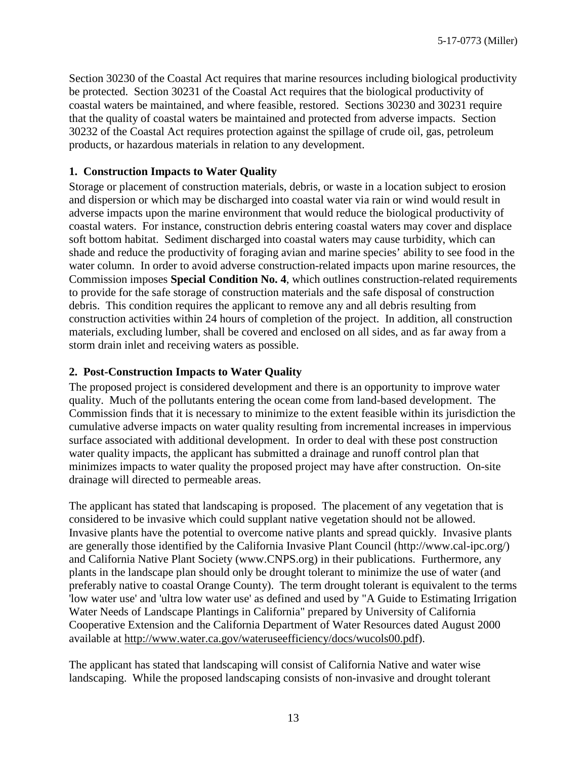Section 30230 of the Coastal Act requires that marine resources including biological productivity be protected. Section 30231 of the Coastal Act requires that the biological productivity of coastal waters be maintained, and where feasible, restored. Sections 30230 and 30231 require that the quality of coastal waters be maintained and protected from adverse impacts. Section 30232 of the Coastal Act requires protection against the spillage of crude oil, gas, petroleum products, or hazardous materials in relation to any development.

### **1. Construction Impacts to Water Quality**

Storage or placement of construction materials, debris, or waste in a location subject to erosion and dispersion or which may be discharged into coastal water via rain or wind would result in adverse impacts upon the marine environment that would reduce the biological productivity of coastal waters. For instance, construction debris entering coastal waters may cover and displace soft bottom habitat. Sediment discharged into coastal waters may cause turbidity, which can shade and reduce the productivity of foraging avian and marine species' ability to see food in the water column. In order to avoid adverse construction-related impacts upon marine resources, the Commission imposes **Special Condition No. 4**, which outlines construction-related requirements to provide for the safe storage of construction materials and the safe disposal of construction debris. This condition requires the applicant to remove any and all debris resulting from construction activities within 24 hours of completion of the project. In addition, all construction materials, excluding lumber, shall be covered and enclosed on all sides, and as far away from a storm drain inlet and receiving waters as possible.

### **2. Post-Construction Impacts to Water Quality**

The proposed project is considered development and there is an opportunity to improve water quality. Much of the pollutants entering the ocean come from land-based development. The Commission finds that it is necessary to minimize to the extent feasible within its jurisdiction the cumulative adverse impacts on water quality resulting from incremental increases in impervious surface associated with additional development. In order to deal with these post construction water quality impacts, the applicant has submitted a drainage and runoff control plan that minimizes impacts to water quality the proposed project may have after construction. On-site drainage will directed to permeable areas.

The applicant has stated that landscaping is proposed. The placement of any vegetation that is considered to be invasive which could supplant native vegetation should not be allowed. Invasive plants have the potential to overcome native plants and spread quickly. Invasive plants are generally those identified by the California Invasive Plant Council (http://www.cal-ipc.org/) and California Native Plant Society (www.CNPS.org) in their publications. Furthermore, any plants in the landscape plan should only be drought tolerant to minimize the use of water (and preferably native to coastal Orange County). The term drought tolerant is equivalent to the terms 'low water use' and 'ultra low water use' as defined and used by "A Guide to Estimating Irrigation Water Needs of Landscape Plantings in California" prepared by University of California Cooperative Extension and the California Department of Water Resources dated August 2000 available at [http://www.water.ca.gov/wateruseefficiency/docs/wucols00.pdf\)](http://www.water.ca.gov/wateruseefficiency/docs/wucols00.pdf).

The applicant has stated that landscaping will consist of California Native and water wise landscaping. While the proposed landscaping consists of non-invasive and drought tolerant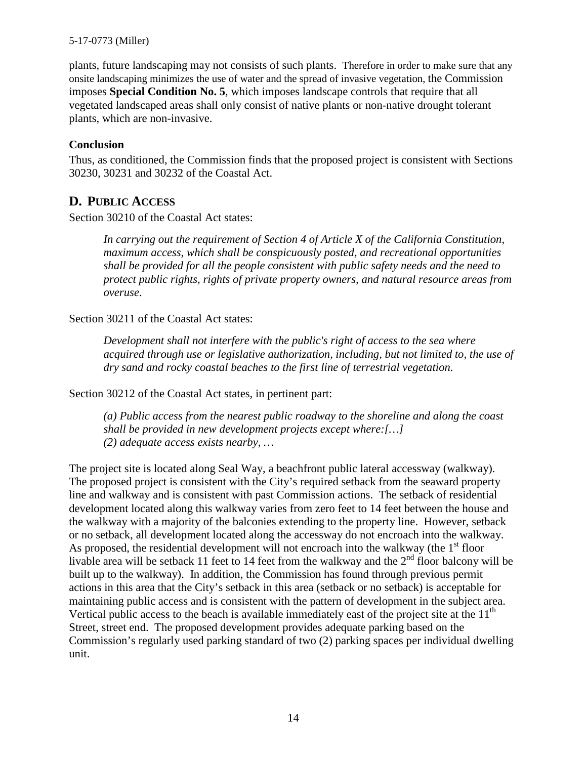#### 5-17-0773 (Miller)

plants, future landscaping may not consists of such plants. Therefore in order to make sure that any onsite landscaping minimizes the use of water and the spread of invasive vegetation, the Commission imposes **Special Condition No. 5**, which imposes landscape controls that require that all vegetated landscaped areas shall only consist of native plants or non-native drought tolerant plants, which are non-invasive.

#### **Conclusion**

Thus, as conditioned, the Commission finds that the proposed project is consistent with Sections 30230, 30231 and 30232 of the Coastal Act.

### <span id="page-13-0"></span>**D. PUBLIC ACCESS**

Section 30210 of the Coastal Act states:

*In carrying out the requirement of Section 4 of Article X of the California Constitution, maximum access, which shall be conspicuously posted, and recreational opportunities shall be provided for all the people consistent with public safety needs and the need to protect public rights, rights of private property owners, and natural resource areas from overuse*.

Section 30211 of the Coastal Act states:

*Development shall not interfere with the public's right of access to the sea where acquired through use or legislative authorization, including, but not limited to, the use of dry sand and rocky coastal beaches to the first line of terrestrial vegetation.* 

Section 30212 of the Coastal Act states, in pertinent part:

*(a) Public access from the nearest public roadway to the shoreline and along the coast shall be provided in new development projects except where:[…] (2) adequate access exists nearby, …*

The project site is located along Seal Way, a beachfront public lateral accessway (walkway). The proposed project is consistent with the City's required setback from the seaward property line and walkway and is consistent with past Commission actions. The setback of residential development located along this walkway varies from zero feet to 14 feet between the house and the walkway with a majority of the balconies extending to the property line. However, setback or no setback, all development located along the accessway do not encroach into the walkway. As proposed, the residential development will not encroach into the walkway (the  $1<sup>st</sup>$  floor livable area will be setback 11 feet to 14 feet from the walkway and the  $2<sup>nd</sup>$  floor balcony will be built up to the walkway). In addition, the Commission has found through previous permit actions in this area that the City's setback in this area (setback or no setback) is acceptable for maintaining public access and is consistent with the pattern of development in the subject area. Vertical public access to the beach is available immediately east of the project site at the  $11<sup>th</sup>$ Street, street end. The proposed development provides adequate parking based on the Commission's regularly used parking standard of two (2) parking spaces per individual dwelling unit.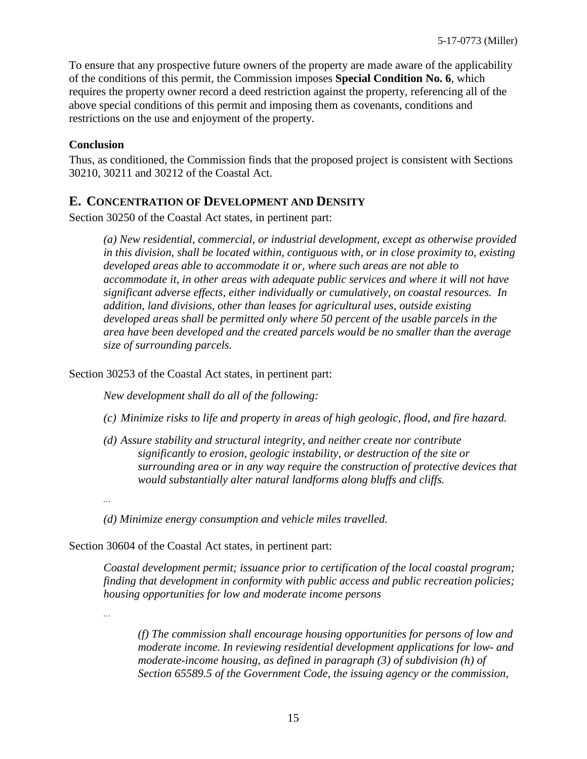To ensure that any prospective future owners of the property are made aware of the applicability of the conditions of this permit, the Commission imposes **Special Condition No. 6**, which requires the property owner record a deed restriction against the property, referencing all of the above special conditions of this permit and imposing them as covenants, conditions and restrictions on the use and enjoyment of the property.

#### **Conclusion**

Thus, as conditioned, the Commission finds that the proposed project is consistent with Sections 30210, 30211 and 30212 of the Coastal Act.

### <span id="page-14-0"></span>**E. CONCENTRATION OF DEVELOPMENT AND DENSITY**

Section 30250 of the Coastal Act states, in pertinent part:

*(a) New residential, commercial, or industrial development, except as otherwise provided in this division, shall be located within, contiguous with, or in close proximity to, existing developed areas able to accommodate it or, where such areas are not able to accommodate it, in other areas with adequate public services and where it will not have significant adverse effects, either individually or cumulatively, on coastal resources. In addition, land divisions, other than leases for agricultural uses, outside existing developed areas shall be permitted only where 50 percent of the usable parcels in the area have been developed and the created parcels would be no smaller than the average size of surrounding parcels.* 

Section 30253 of the Coastal Act states, in pertinent part:

*New development shall do all of the following:* 

- *(c) Minimize risks to life and property in areas of high geologic, flood, and fire hazard.*
- *(d) Assure stability and structural integrity, and neither create nor contribute significantly to erosion, geologic instability, or destruction of the site or surrounding area or in any way require the construction of protective devices that would substantially alter natural landforms along bluffs and cliffs.*
- *…*

*…* 

*(d) Minimize energy consumption and vehicle miles travelled.* 

Section 30604 of the Coastal Act states, in pertinent part:

*Coastal development permit; issuance prior to certification of the local coastal program; finding that development in conformity with public access and public recreation policies; housing opportunities for low and moderate income persons* 

*(f) The commission shall encourage housing opportunities for persons of low and moderate income. In reviewing residential development applications for low- and moderate-income housing, as defined in paragraph (3) of subdivision (h) of Section 65589.5 of the Government Code, the issuing agency or the commission,*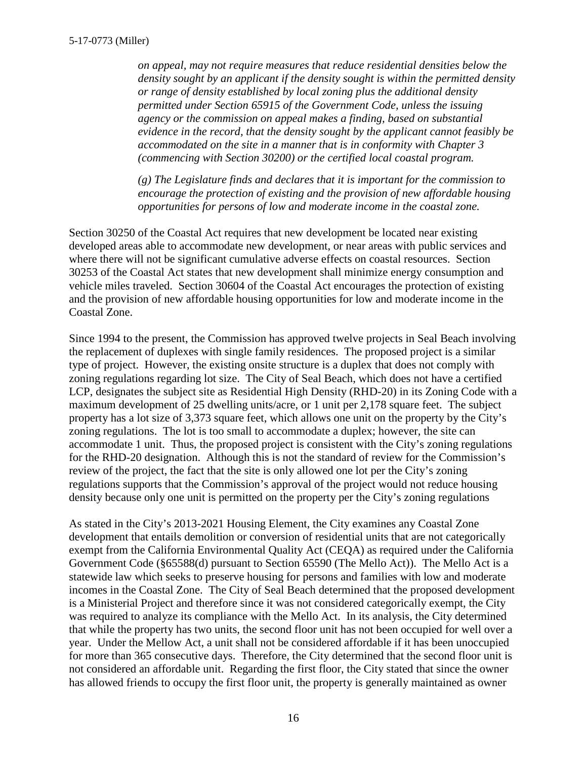*on appeal, may not require measures that reduce residential densities below the density sought by an applicant if the density sought is within the permitted density or range of density established by local zoning plus the additional density permitted under Section 65915 of the Government Code, unless the issuing agency or the commission on appeal makes a finding, based on substantial evidence in the record, that the density sought by the applicant cannot feasibly be accommodated on the site in a manner that is in conformity with Chapter 3 (commencing with Section 30200) or the certified local coastal program.* 

*(g) The Legislature finds and declares that it is important for the commission to encourage the protection of existing and the provision of new affordable housing opportunities for persons of low and moderate income in the coastal zone.* 

Section 30250 of the Coastal Act requires that new development be located near existing developed areas able to accommodate new development, or near areas with public services and where there will not be significant cumulative adverse effects on coastal resources. Section 30253 of the Coastal Act states that new development shall minimize energy consumption and vehicle miles traveled. Section 30604 of the Coastal Act encourages the protection of existing and the provision of new affordable housing opportunities for low and moderate income in the Coastal Zone.

Since 1994 to the present, the Commission has approved twelve projects in Seal Beach involving the replacement of duplexes with single family residences. The proposed project is a similar type of project. However, the existing onsite structure is a duplex that does not comply with zoning regulations regarding lot size. The City of Seal Beach, which does not have a certified LCP, designates the subject site as Residential High Density (RHD-20) in its Zoning Code with a maximum development of 25 dwelling units/acre, or 1 unit per 2,178 square feet. The subject property has a lot size of 3,373 square feet, which allows one unit on the property by the City's zoning regulations. The lot is too small to accommodate a duplex; however, the site can accommodate 1 unit. Thus, the proposed project is consistent with the City's zoning regulations for the RHD-20 designation. Although this is not the standard of review for the Commission's review of the project, the fact that the site is only allowed one lot per the City's zoning regulations supports that the Commission's approval of the project would not reduce housing density because only one unit is permitted on the property per the City's zoning regulations

As stated in the City's 2013-2021 Housing Element, the City examines any Coastal Zone development that entails demolition or conversion of residential units that are not categorically exempt from the California Environmental Quality Act (CEQA) as required under the California Government Code (§65588(d) pursuant to Section 65590 (The Mello Act)). The Mello Act is a statewide law which seeks to preserve housing for persons and families with low and moderate incomes in the Coastal Zone. The City of Seal Beach determined that the proposed development is a Ministerial Project and therefore since it was not considered categorically exempt, the City was required to analyze its compliance with the Mello Act. In its analysis, the City determined that while the property has two units, the second floor unit has not been occupied for well over a year. Under the Mellow Act, a unit shall not be considered affordable if it has been unoccupied for more than 365 consecutive days. Therefore, the City determined that the second floor unit is not considered an affordable unit. Regarding the first floor, the City stated that since the owner has allowed friends to occupy the first floor unit, the property is generally maintained as owner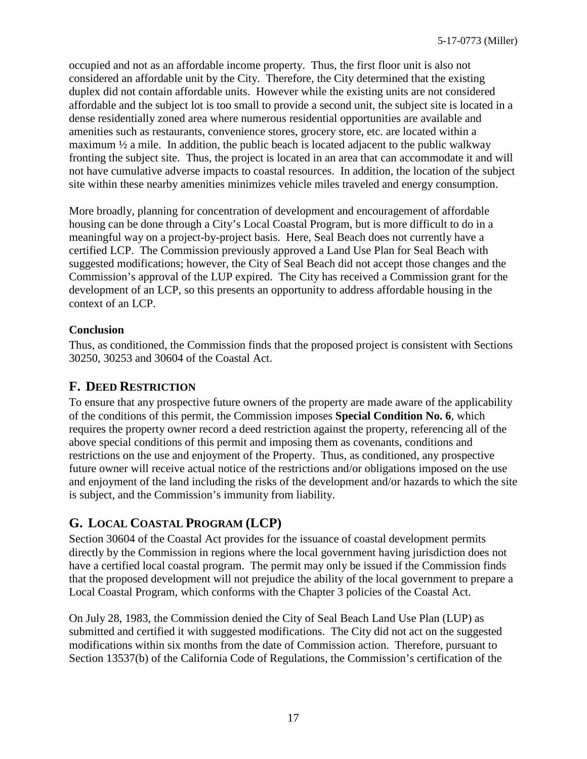occupied and not as an affordable income property. Thus, the first floor unit is also not considered an affordable unit by the City. Therefore, the City determined that the existing duplex did not contain affordable units. However while the existing units are not considered affordable and the subject lot is too small to provide a second unit, the subject site is located in a dense residentially zoned area where numerous residential opportunities are available and amenities such as restaurants, convenience stores, grocery store, etc. are located within a maximum  $\frac{1}{2}$  a mile. In addition, the public beach is located adjacent to the public walkway fronting the subject site. Thus, the project is located in an area that can accommodate it and will not have cumulative adverse impacts to coastal resources. In addition, the location of the subject site within these nearby amenities minimizes vehicle miles traveled and energy consumption.

More broadly, planning for concentration of development and encouragement of affordable housing can be done through a City's Local Coastal Program, but is more difficult to do in a meaningful way on a project-by-project basis. Here, Seal Beach does not currently have a certified LCP. The Commission previously approved a Land Use Plan for Seal Beach with suggested modifications; however, the City of Seal Beach did not accept those changes and the Commission's approval of the LUP expired. The City has received a Commission grant for the development of an LCP, so this presents an opportunity to address affordable housing in the context of an LCP.

### **Conclusion**

Thus, as conditioned, the Commission finds that the proposed project is consistent with Sections 30250, 30253 and 30604 of the Coastal Act.

### <span id="page-16-0"></span>**F. DEED RESTRICTION**

To ensure that any prospective future owners of the property are made aware of the applicability of the conditions of this permit, the Commission imposes **Special Condition No. 6**, which requires the property owner record a deed restriction against the property, referencing all of the above special conditions of this permit and imposing them as covenants, conditions and restrictions on the use and enjoyment of the Property. Thus, as conditioned, any prospective future owner will receive actual notice of the restrictions and/or obligations imposed on the use and enjoyment of the land including the risks of the development and/or hazards to which the site is subject, and the Commission's immunity from liability.

# <span id="page-16-1"></span>**G. LOCAL COASTAL PROGRAM (LCP)**

Section 30604 of the Coastal Act provides for the issuance of coastal development permits directly by the Commission in regions where the local government having jurisdiction does not have a certified local coastal program. The permit may only be issued if the Commission finds that the proposed development will not prejudice the ability of the local government to prepare a Local Coastal Program, which conforms with the Chapter 3 policies of the Coastal Act.

On July 28, 1983, the Commission denied the City of Seal Beach Land Use Plan (LUP) as submitted and certified it with suggested modifications. The City did not act on the suggested modifications within six months from the date of Commission action. Therefore, pursuant to Section 13537(b) of the California Code of Regulations, the Commission's certification of the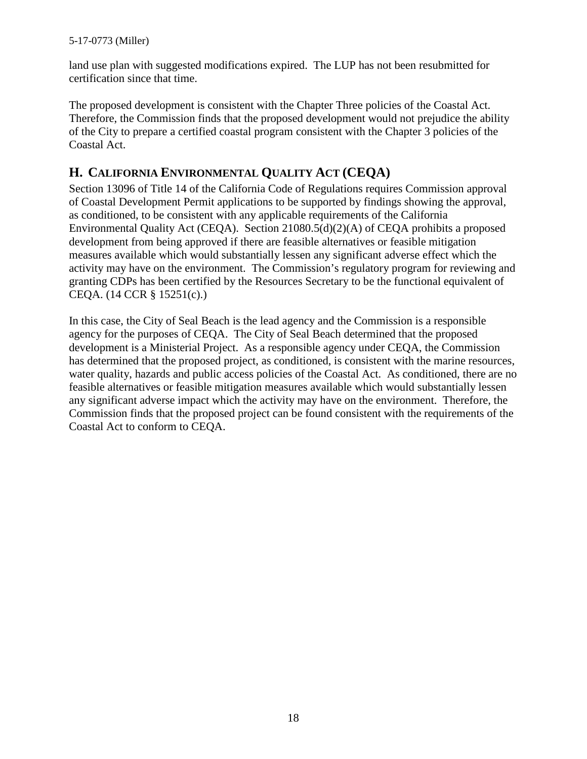land use plan with suggested modifications expired. The LUP has not been resubmitted for certification since that time.

The proposed development is consistent with the Chapter Three policies of the Coastal Act. Therefore, the Commission finds that the proposed development would not prejudice the ability of the City to prepare a certified coastal program consistent with the Chapter 3 policies of the Coastal Act.

## <span id="page-17-0"></span>**H. CALIFORNIA ENVIRONMENTAL QUALITY ACT (CEQA)**

Section 13096 of Title 14 of the California Code of Regulations requires Commission approval of Coastal Development Permit applications to be supported by findings showing the approval, as conditioned, to be consistent with any applicable requirements of the California Environmental Quality Act (CEQA). Section 21080.5(d)(2)(A) of CEQA prohibits a proposed development from being approved if there are feasible alternatives or feasible mitigation measures available which would substantially lessen any significant adverse effect which the activity may have on the environment. The Commission's regulatory program for reviewing and granting CDPs has been certified by the Resources Secretary to be the functional equivalent of CEQA. (14 CCR § 15251(c).)

In this case, the City of Seal Beach is the lead agency and the Commission is a responsible agency for the purposes of CEQA. The City of Seal Beach determined that the proposed development is a Ministerial Project. As a responsible agency under CEQA, the Commission has determined that the proposed project, as conditioned, is consistent with the marine resources, water quality, hazards and public access policies of the Coastal Act. As conditioned, there are no feasible alternatives or feasible mitigation measures available which would substantially lessen any significant adverse impact which the activity may have on the environment. Therefore, the Commission finds that the proposed project can be found consistent with the requirements of the Coastal Act to conform to CEQA.